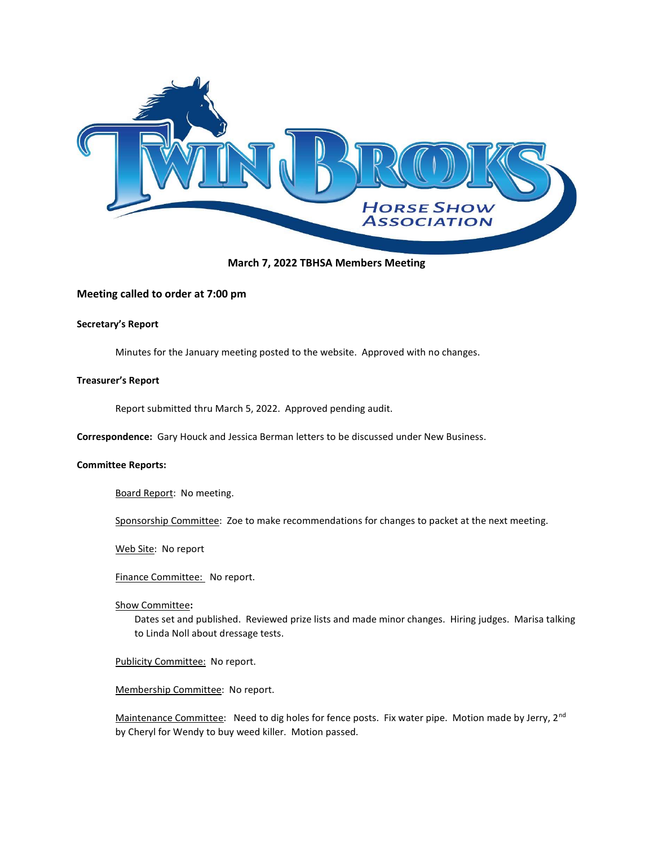

# March 7, 2022 TBHSA Members Meeting

# Meeting called to order at 7:00 pm

# Secretary's Report

Minutes for the January meeting posted to the website. Approved with no changes.

# Treasurer's Report

Report submitted thru March 5, 2022. Approved pending audit.

Correspondence: Gary Houck and Jessica Berman letters to be discussed under New Business.

#### Committee Reports:

Board Report: No meeting.

Sponsorship Committee: Zoe to make recommendations for changes to packet at the next meeting.

Web Site: No report

Finance Committee: No report.

#### Show Committee:

Dates set and published. Reviewed prize lists and made minor changes. Hiring judges. Marisa talking to Linda Noll about dressage tests.

#### Publicity Committee: No report.

Membership Committee: No report.

Maintenance Committee: Need to dig holes for fence posts. Fix water pipe. Motion made by Jerry, 2<sup>nd</sup> by Cheryl for Wendy to buy weed killer. Motion passed.